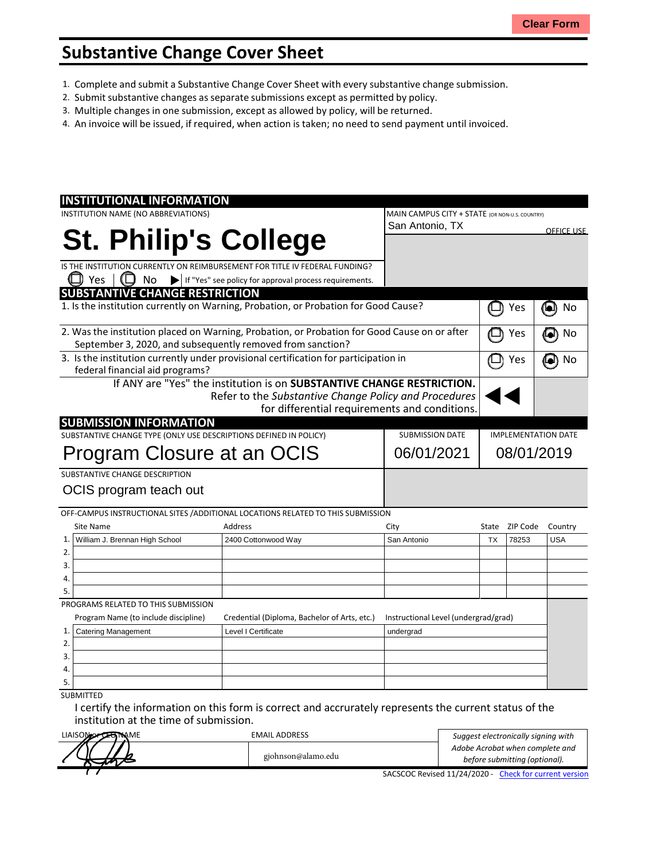## **Substantive Change Cover Sheet**

- 1. Complete and submit a Substantive Change Cover Sheet with every substantive change submission.
- 2. Submit substantive changes asseparate submissions except as permitted by policy.
- 3. Multiple changes in one submission, except as allowed by policy, will be returned.
- 4. An invoice will be issued, if required, when action is taken; no need to send payment until invoiced.

| <b>INSTITUTIONAL INFORMATION</b>                                                             |                                                                        |            |                                                |                            |          |                   |
|----------------------------------------------------------------------------------------------|------------------------------------------------------------------------|------------|------------------------------------------------|----------------------------|----------|-------------------|
| INSTITUTION NAME (NO ABBREVIATIONS)                                                          |                                                                        |            | MAIN CAMPUS CITY + STATE (OR NON-U.S. COUNTRY) |                            |          |                   |
|                                                                                              |                                                                        |            | San Antonio, TX                                |                            |          | <b>OFFICE USE</b> |
| <b>St. Philip's College</b>                                                                  |                                                                        |            |                                                |                            |          |                   |
|                                                                                              |                                                                        |            |                                                |                            |          |                   |
| IS THE INSTITUTION CURRENTLY ON REIMBURSEMENT FOR TITLE IV FEDERAL FUNDING?                  |                                                                        |            |                                                |                            |          |                   |
| Yes<br>No                                                                                    | If "Yes" see policy for approval process requirements.                 |            |                                                |                            |          |                   |
| <b>SUBSTANTIVE CHANGE RESTRICTION</b>                                                        |                                                                        |            |                                                |                            |          |                   |
| 1. Is the institution currently on Warning, Probation, or Probation for Good Cause?          |                                                                        |            |                                                |                            | Yes      | No<br>o           |
| 2. Was the institution placed on Warning, Probation, or Probation for Good Cause on or after |                                                                        |            |                                                |                            | Yes      | No                |
| September 3, 2020, and subsequently removed from sanction?                                   |                                                                        |            |                                                |                            |          |                   |
| 3. Is the institution currently under provisional certification for participation in         |                                                                        |            |                                                |                            | Yes      | No                |
| federal financial aid programs?                                                              |                                                                        |            |                                                |                            |          |                   |
|                                                                                              | If ANY are "Yes" the institution is on SUBSTANTIVE CHANGE RESTRICTION. |            |                                                |                            |          |                   |
|                                                                                              | Refer to the Substantive Change Policy and Procedures                  |            |                                                |                            |          |                   |
|                                                                                              |                                                                        |            | for differential requirements and conditions.  |                            |          |                   |
| <b>SUBMISSION INFORMATION</b>                                                                |                                                                        |            |                                                |                            |          |                   |
| SUBSTANTIVE CHANGE TYPE (ONLY USE DESCRIPTIONS DEFINED IN POLICY)                            |                                                                        |            | <b>SUBMISSION DATE</b>                         | <b>IMPLEMENTATION DATE</b> |          |                   |
|                                                                                              |                                                                        | 06/01/2021 | 08/01/2019                                     |                            |          |                   |
| Program Closure at an OCIS                                                                   |                                                                        |            |                                                |                            |          |                   |
| SUBSTANTIVE CHANGE DESCRIPTION                                                               |                                                                        |            |                                                |                            |          |                   |
| OCIS program teach out                                                                       |                                                                        |            |                                                |                            |          |                   |
|                                                                                              |                                                                        |            |                                                |                            |          |                   |
| OFF-CAMPUS INSTRUCTIONAL SITES / ADDITIONAL LOCATIONS RELATED TO THIS SUBMISSION             |                                                                        |            |                                                |                            |          |                   |
| <b>Site Name</b>                                                                             | Address                                                                |            | City                                           | State                      | ZIP Code | Country           |
| $\mathbf{1}$<br>William J. Brennan High School                                               | 2400 Cottonwood Way                                                    |            | San Antonio                                    | <b>TX</b>                  | 78253    | <b>USA</b>        |
| 2.                                                                                           |                                                                        |            |                                                |                            |          |                   |
| 3.                                                                                           |                                                                        |            |                                                |                            |          |                   |
| 4.                                                                                           |                                                                        |            |                                                |                            |          |                   |
| 5.                                                                                           |                                                                        |            |                                                |                            |          |                   |
| PROGRAMS RELATED TO THIS SUBMISSION                                                          |                                                                        |            |                                                |                            |          |                   |
| Program Name (to include discipline)                                                         | Credential (Diploma, Bachelor of Arts, etc.)                           |            | Instructional Level (undergrad/grad)           |                            |          |                   |
| <b>Catering Management</b><br>1.                                                             | Level I Certificate                                                    |            | undergrad                                      |                            |          |                   |
| 2.                                                                                           |                                                                        |            |                                                |                            |          |                   |
| 3.                                                                                           |                                                                        |            |                                                |                            |          |                   |
| 4.                                                                                           |                                                                        |            |                                                |                            |          |                   |
| 5.                                                                                           |                                                                        |            |                                                |                            |          |                   |
| <b>SUBMITTED</b>                                                                             |                                                                        |            |                                                |                            |          |                   |

I certify the information on this form is correct and accrurately represents the current status of the institution at the time of submission.

| LIAISONO CHANNE | <b>EMAIL ADDRESS</b> | Suggest electronically signing with                   |
|-----------------|----------------------|-------------------------------------------------------|
|                 |                      | Adobe Acrobat when complete and                       |
|                 | gjohnson@alamo.edu   | before submitting (optional).                         |
|                 |                      | SACSCOC Revised 11/24/2020 - Check for current versio |

SACSCOC Revised 11/24/2020 - Check for current version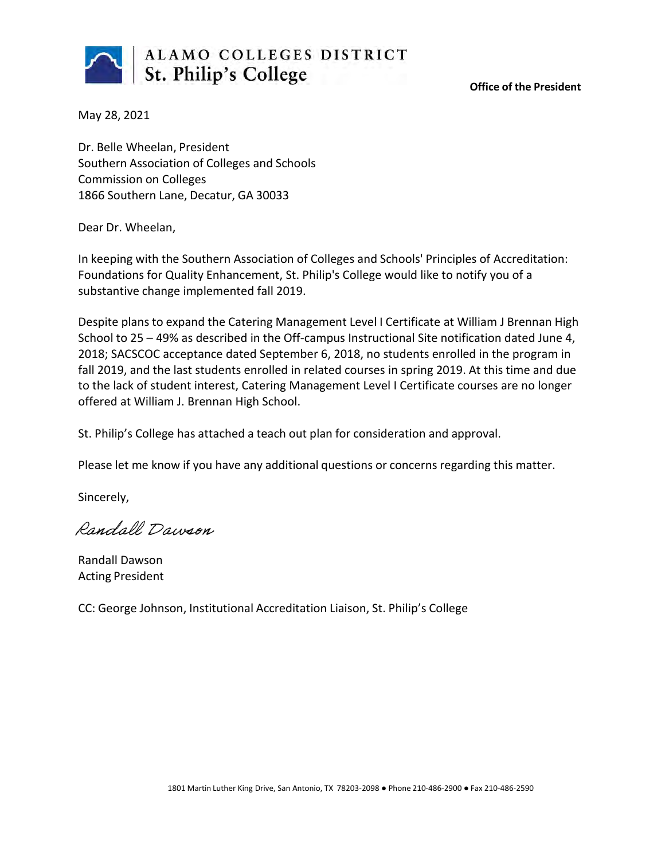

**Office of the President**

May 28, 2021

Dr. Belle Wheelan, President Southern Association of Colleges and Schools Commission on Colleges 1866 Southern Lane, Decatur, GA 30033

Dear Dr. Wheelan,

In keeping with the Southern Association of Colleges and Schools' Principles of Accreditation: Foundations for Quality Enhancement, St. Philip's College would like to notify you of a substantive change implemented fall 2019.

Despite plans to expand the Catering Management Level I Certificate at William J Brennan High School to 25 – 49% as described in the Off-campus Instructional Site notification dated June 4, 2018; SACSCOC acceptance dated September 6, 2018, no students enrolled in the program in fall 2019, and the last students enrolled in related courses in spring 2019. At this time and due to the lack of student interest, Catering Management Level I Certificate courses are no longer offered at William J. Brennan High School.

St. Philip's College has attached a teach out plan for consideration and approval.

Please let me know if you have any additional questions or concerns regarding this matter.

Sincerely,

Randall Dawson

Randall Dawson Acting President

CC: George Johnson, Institutional Accreditation Liaison, St. Philip's College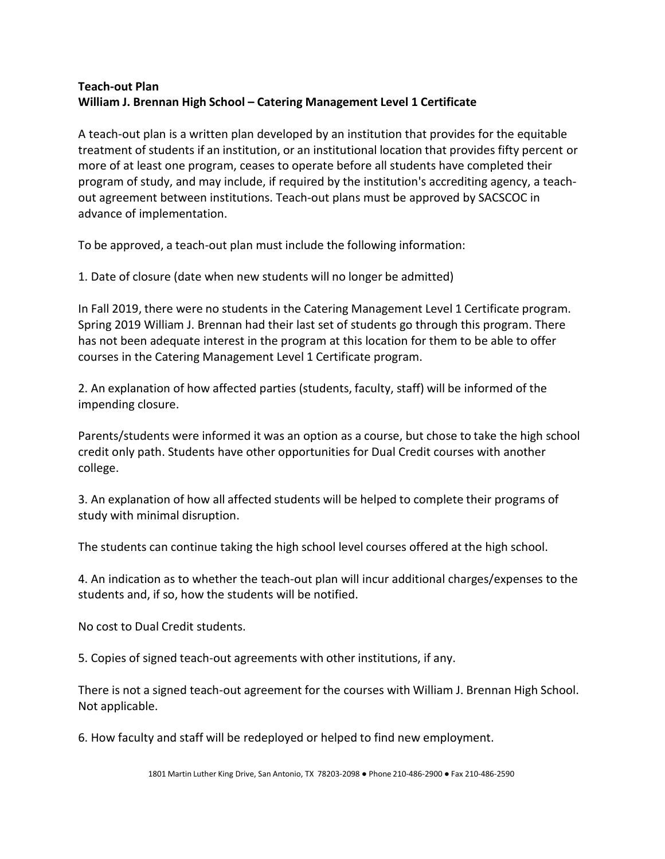## **Teach-out Plan William J. Brennan High School – Catering Management Level 1 Certificate**

A teach-out plan is a written plan developed by an institution that provides for the equitable treatment of students if an institution, or an institutional location that provides fifty percent or more of at least one program, ceases to operate before all students have completed their program of study, and may include, if required by the institution's accrediting agency, a teachout agreement between institutions. Teach-out plans must be approved by SACSCOC in advance of implementation.

To be approved, a teach-out plan must include the following information:

1. Date of closure (date when new students will no longer be admitted)

In Fall 2019, there were no students in the Catering Management Level 1 Certificate program. Spring 2019 William J. Brennan had their last set of students go through this program. There has not been adequate interest in the program at this location for them to be able to offer courses in the Catering Management Level 1 Certificate program.

2. An explanation of how affected parties (students, faculty, staff) will be informed of the impending closure.

Parents/students were informed it was an option as a course, but chose to take the high school credit only path. Students have other opportunities for Dual Credit courses with another college.

3. An explanation of how all affected students will be helped to complete their programs of study with minimal disruption.

The students can continue taking the high school level courses offered at the high school.

4. An indication as to whether the teach-out plan will incur additional charges/expenses to the students and, if so, how the students will be notified.

No cost to Dual Credit students.

5. Copies of signed teach-out agreements with other institutions, if any.

There is not a signed teach-out agreement for the courses with William J. Brennan High School. Not applicable.

6. How faculty and staff will be redeployed or helped to find new employment.